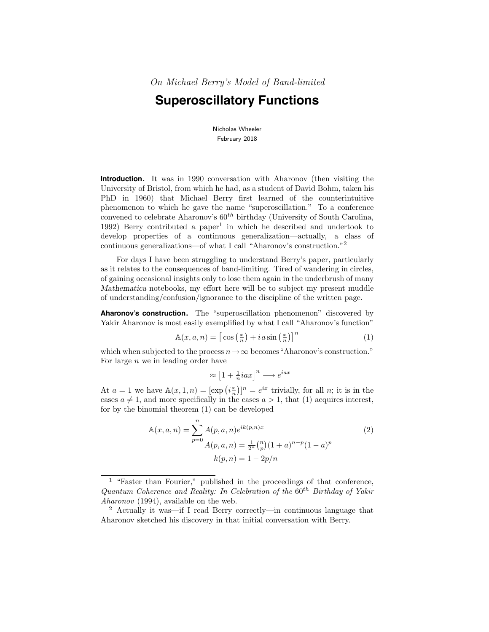On Michael Berry's Model of Band-limited

# **Superoscillatory Functions**

Nicholas Wheeler February 2018

**Introduction.** It was in 1990 conversation with Aharonov (then visiting the University of Bristol, from which he had, as a student of David Bohm, taken his PhD in 1960) that Michael Berry first learned of the counterintuitive phenomenon to which he gave the name "superoscillation." To a conference convened to celebrate Aharonov's  $60^{th}$  birthday (University of South Carolina, 1992) Berry contributed a paper<sup>1</sup> in which he described and undertook to develop properties of a continuous generalization—actually, a class of continuous generalizations—of what I call "Aharonov's construction."<sup>2</sup>

For days I have been struggling to understand Berry's paper, particularly as it relates to the consequences of band-limiting. Tired of wandering in circles, of gaining occasional insights only to lose them again in the underbrush of many Mathematica notebooks, my effort here will be to subject my present muddle of understanding/confusion/ignorance to the discipline of the written page.

**Aharonov's construction.** The "superoscillation phenomenon" discovered by Yakir Aharonov is most easily exemplified by what I call "Aharonov's function"

$$
\mathbb{A}(x, a, n) = \left[\cos\left(\frac{x}{n}\right) + i a \sin\left(\frac{x}{n}\right)\right]^n\tag{1}
$$

which when subjected to the process  $n \to \infty$  becomes "Aharonov's construction." For large  $n$  we in leading order have

$$
\approx \left[1 + \tfrac{1}{n} i a x\right]^n \longrightarrow e^{iax}
$$

At  $a = 1$  we have  $\mathbb{A}(x, 1, n) = [\exp(i\frac{x}{n})]^n = e^{ix}$  trivially, for all n; it is in the cases  $a \neq 1$ , and more specifically in the cases  $a > 1$ , that (1) acquires interest, for by the binomial theorem (1) can be developed

$$
\mathbb{A}(x, a, n) = \sum_{p=0}^{n} A(p, a, n) e^{ik(p, n)x}
$$
\n
$$
A(p, a, n) = \frac{1}{2^n} {n \choose p} (1 + a)^{n-p} (1 - a)^p
$$
\n
$$
k(p, n) = 1 - 2p/n
$$
\n(2)

<sup>&</sup>lt;sup>1</sup> "Faster than Fourier," published in the proceedings of that conference, Quantum Coherence and Reality: In Celebration of the  $60<sup>th</sup>$  Birthday of Yakir Aharonov (1994), available on the web.

<sup>2</sup> Actually it was—if I read Berry correctly—in continuous language that Aharonov sketched his discovery in that initial conversation with Berry.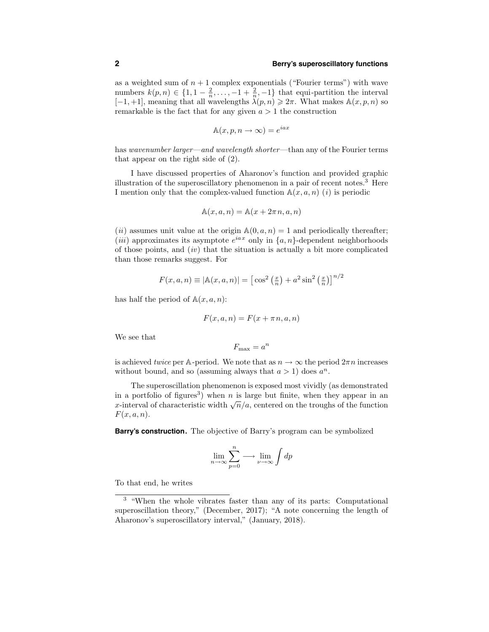as a weighted sum of  $n + 1$  complex exponentials ("Fourier terms") with wave numbers  $k(p, n) \in \{1, 1 - \frac{2}{n}, \ldots, -1 + \frac{2}{n}, -1\}$  that equi-partition the interval  $[-1, +1]$ , meaning that all wavelengths  $\lambda(p, n) \geq 2\pi$ . What makes  $\mathbb{A}(x, p, n)$  so remarkable is the fact that for any given  $a > 1$  the construction

$$
\mathbb{A}(x, p, n \to \infty) = e^{iax}
$$

has wavenumber larger—and wavelength shorter—than any of the Fourier terms that appear on the right side of (2).

I have discussed properties of Aharonov's function and provided graphic illustration of the superoscillatory phenomenon in a pair of recent notes.<sup>3</sup> Here I mention only that the complex-valued function  $\mathbb{A}(x, a, n)$  (*i*) is periodic

$$
\mathbb{A}(x, a, n) = \mathbb{A}(x + 2\pi n, a, n)
$$

(*ii*) assumes unit value at the origin  $\mathbb{A}(0, a, n) = 1$  and periodically thereafter; (*iii*) approximates its asymptote  $e^{iax}$  only in  $\{a, n\}$ -dependent neighborhoods of those points, and  $(iv)$  that the situation is actually a bit more complicated than those remarks suggest. For

$$
F(x, a, n) \equiv |\mathbb{A}(x, a, n)| = \left[\cos^2\left(\frac{x}{n}\right) + a^2 \sin^2\left(\frac{x}{n}\right)\right]^{n/2}
$$

has half the period of  $\mathbb{A}(x, a, n)$ :

$$
F(x, a, n) = F(x + \pi n, a, n)
$$

We see that

$$
F_{\max} = a^n
$$

is achieved twice per A-period. We note that as  $n \to \infty$  the period  $2\pi n$  increases without bound, and so (assuming always that  $a > 1$ ) does  $a^n$ .

The superoscillation phenomenon is exposed most vividly (as demonstrated in a portfolio of figures<sup>3</sup>) when n is large but finite, when they appear in an x-interval of characteristic width  $\sqrt{n}/a$ , centered on the troughs of the function  $F(x, a, n).$ 

**Barry's construction.** The objective of Barry's program can be symbolized

$$
\lim_{n \to \infty} \sum_{p=0}^{n} \longrightarrow \lim_{\nu \to \infty} \int dp
$$

To that end, he writes

<sup>3</sup> "When the whole vibrates faster than any of its parts: Computational superoscillation theory," (December, 2017); "A note concerning the length of Aharonov's superoscillatory interval," (January, 2018).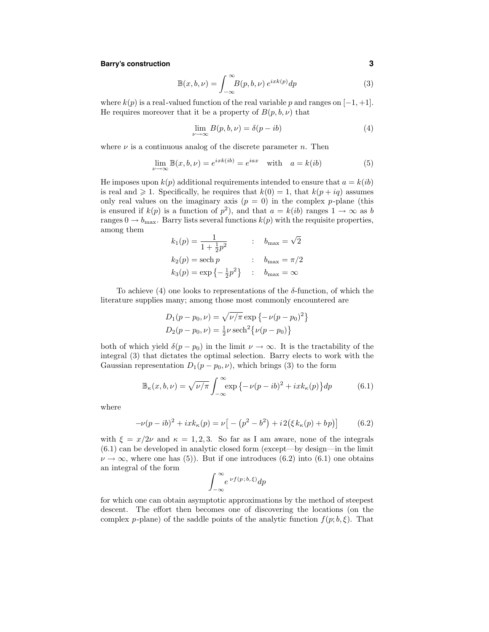# **Barry's construction 3**

$$
\mathbb{B}(x,b,\nu) = \int_{-\infty}^{\infty} B(p,b,\nu) e^{ixk(p)} dp \tag{3}
$$

where  $k(p)$  is a real-valued function of the real variable p and ranges on  $[-1, +1]$ . He requires moreover that it be a property of  $B(p, b, \nu)$  that

$$
\lim_{\nu \to \infty} B(p, b, \nu) = \delta(p - ib)
$$
\n(4)

where  $\nu$  is a continuous analog of the discrete parameter n. Then

$$
\lim_{\nu \to \infty} \mathbb{B}(x, b, \nu) = e^{ixk(ib)} = e^{iax} \quad \text{with} \quad a = k(ib) \tag{5}
$$

He imposes upon  $k(p)$  additional requirements intended to ensure that  $a = k(ib)$ is real and  $\geq 1$ . Specifically, he requires that  $k(0) = 1$ , that  $k(p + iq)$  assumes only real values on the imaginary axis  $(p = 0)$  in the complex p-plane (this is ensured if  $k(p)$  is a function of  $p^2$ ), and that  $a = k(ib)$  ranges  $1 \to \infty$  as b ranges  $0 \rightarrow b_{\text{max}}$ . Barry lists several functions  $k(p)$  with the requisite properties, among them

$$
k_1(p) = \frac{1}{1 + \frac{1}{2}p^2}
$$
 :  $b_{\text{max}} = \sqrt{2}$   
\n $k_2(p) = \text{sech } p$  :  $b_{\text{max}} = \pi/2$   
\n $k_3(p) = \exp\{-\frac{1}{2}p^2\}$  :  $b_{\text{max}} = \infty$ 

To achieve (4) one looks to representations of the  $\delta$ -function, of which the literature supplies many; among those most commonly encountered are

$$
D_1(p - p_0, \nu) = \sqrt{\nu/\pi} \exp \{-\nu(p - p_0)^2\}
$$
  

$$
D_2(p - p_0, \nu) = \frac{1}{2}\nu \operatorname{sech}^2{\nu(p - p_0)}
$$

both of which yield  $\delta(p - p_0)$  in the limit  $\nu \to \infty$ . It is the tractability of the integral (3) that dictates the optimal selection. Barry elects to work with the Gaussian representation  $D_1(p - p_0, \nu)$ , which brings (3) to the form

$$
\mathbb{B}_{\kappa}(x,b,\nu) = \sqrt{\nu/\pi} \int_{-\infty}^{\infty} \exp\left\{-\nu(p-ib)^2 + ixk_{\kappa}(p)\right\} dp \tag{6.1}
$$

where

$$
-\nu(p - ib)^2 + ixk_{\kappa}(p) = \nu \left[ -\left(p^2 - b^2\right) + i2\left(\xi k_{\kappa}(p) + bp\right) \right] \tag{6.2}
$$

with  $\xi = x/2\nu$  and  $\kappa = 1, 2, 3$ . So far as I am aware, none of the integrals  $(6.1)$  can be developed in analytic closed form (except—by design—in the limit  $\nu \to \infty$ , where one has (5)). But if one introduces (6.2) into (6.1) one obtains an integral of the form

$$
\int_{-\infty}^{\infty} e^{\nu f(p;b,\xi)} dp
$$

for which one can obtain asymptotic approximations by the method of steepest descent. The effort then becomes one of discovering the locations (on the complex p-plane) of the saddle points of the analytic function  $f(p; b, \xi)$ . That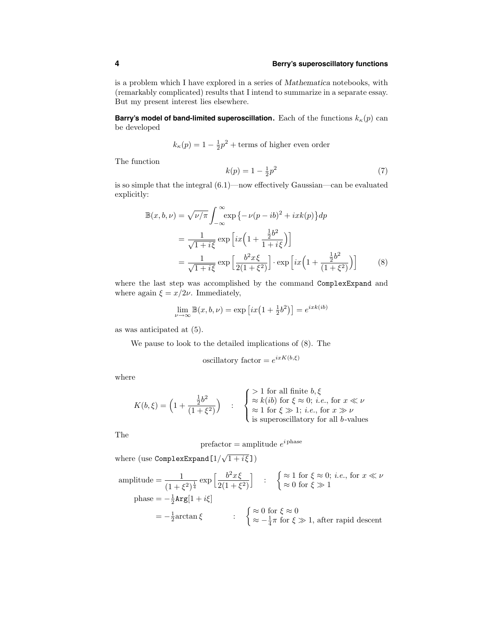is a problem which I have explored in a series of Mathematica notebooks, with (remarkably complicated) results that I intend to summarize in a separate essay. But my present interest lies elsewhere.

**Barry's model of band-limited superoscillation.** Each of the functions  $k_{\kappa}(p)$  can be developed

$$
k_{\kappa}(p) = 1 - \frac{1}{2}p^2
$$
 + terms of higher even order

The function

$$
k(p) = 1 - \frac{1}{2}p^2
$$
 (7)

is so simple that the integral (6.1)—now effectively Gaussian—can be evaluated explicitly:

$$
\mathbb{B}(x, b, \nu) = \sqrt{\nu/\pi} \int_{-\infty}^{\infty} \exp\left\{-\nu(p - ib)^2 + ixk(p)\right\} dp
$$

$$
= \frac{1}{\sqrt{1 + i\xi}} \exp\left[ix\left(1 + \frac{\frac{1}{2}b^2}{1 + i\xi}\right)\right]
$$

$$
= \frac{1}{\sqrt{1 + i\xi}} \exp\left[\frac{b^2x\xi}{2(1 + \xi^2)}\right] \cdot \exp\left[ix\left(1 + \frac{\frac{1}{2}b^2}{(1 + \xi^2)}\right)\right] \tag{8}
$$

where the last step was accomplished by the command ComplexExpand and where again  $\xi = x/2\nu$ . Immediately,

$$
\lim_{\nu \to \infty} \mathbb{B}(x, b, \nu) = \exp\left[ix\left(1 + \frac{1}{2}b^2\right)\right] = e^{ixk(ib)}
$$

as was anticipated at (5).

We pause to look to the detailed implications of (8). The

oscillatory factor = 
$$
e^{ixK(b,\xi)}
$$

 $\mathbf{r}$ 

where

$$
K(b,\xi) = \left(1 + \frac{\frac{1}{2}b^2}{(1+\xi^2)}\right) \quad : \quad \begin{cases} > 1 \text{ for all finite } b,\xi \\ \approx k(ib) \text{ for } \xi \approx 0; \ i.e., \text{ for } x \ll \nu \\ \approx 1 \text{ for } \xi \gg 1; \ i.e., \text{ for } x \gg \nu \\ \text{is superoscillatory for all } b-values \end{cases}
$$

The

$$
prefactor = amplitude e^{i\text{phase}}
$$

where (use  $\texttt{ComplexExpand}[1/\sqrt{1+i \xi}]$ )

amplitude = 
$$
\frac{1}{(1+\xi^2)^{\frac{1}{4}}}\exp\left[\frac{b^2x\xi}{2(1+\xi^2)}\right] : \begin{cases} \approx 1 \text{ for } \xi \approx 0; \ i.e., \text{ for } x \ll \nu \\ \approx 0 \text{ for } \xi \gg 1 \end{cases}
$$
  
phase =  $-\frac{1}{2}\text{Arg}[1+i\xi]$   
=  $-\frac{1}{2}\arctan\xi$  :  $\begin{cases} \approx 0 \text{ for } \xi \approx 0 \\ \approx -\frac{1}{4}\pi \text{ for } \xi \gg 1, \text{ after rapid descent} \end{cases}$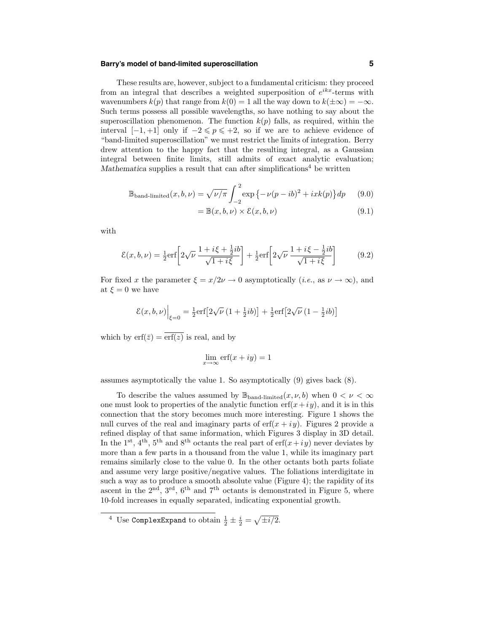# **Barry's model of band-limited superoscillation 5**

These results are, however, subject to a fundamental criticism: they proceed from an integral that describes a weighted superposition of  $e^{ikx}$ -terms with wavenumbers  $k(p)$  that range from  $k(0) = 1$  all the way down to  $k(\pm \infty) = -\infty$ . Such terms possess all possible wavelengths, so have nothing to say about the superoscillation phenomenon. The function  $k(p)$  falls, as required, within the interval  $[-1, +1]$  only if  $-2 \leq p \leq 1+2$ , so if we are to achieve evidence of "band-limited superoscillation" we must restrict the limits of integration. Berry drew attention to the happy fact that the resulting integral, as a Gaussian integral between finite limits, still admits of exact analytic evaluation; Mathematica supplies a result that can after simplifications<sup>4</sup> be written

$$
\mathbb{B}_{\text{band-limited}}(x, b, \nu) = \sqrt{\nu/\pi} \int_{-2}^{2} \exp\left\{-\nu(p - ib)^2 + ixk(p)\right\} dp \qquad (9.0)
$$

$$
= \mathbb{B}(x, b, \nu) \times \mathcal{E}(x, b, \nu) \tag{9.1}
$$

with

$$
\mathcal{E}(x, b, \nu) = \frac{1}{2} \text{erf} \left[ 2\sqrt{\nu} \frac{1 + i\xi + \frac{1}{2}ib}{\sqrt{1 + i\xi}} \right] + \frac{1}{2} \text{erf} \left[ 2\sqrt{\nu} \frac{1 + i\xi - \frac{1}{2}ib}{\sqrt{1 + i\xi}} \right] \tag{9.2}
$$

For fixed x the parameter  $\xi = x/2\nu \rightarrow 0$  asymptotically  $(i.e.,$  as  $\nu \rightarrow \infty)$ , and at  $\xi = 0$  we have

$$
\mathcal{E}(x, b, \nu)\Big|_{\xi=0} = \frac{1}{2} \mathrm{erf}\big[2\sqrt{\nu} \left(1 + \frac{1}{2}ib\right)\big] + \frac{1}{2} \mathrm{erf}\big[2\sqrt{\nu} \left(1 - \frac{1}{2}ib\right)\big]
$$

which by  $\text{erf}(\bar{z}) = \overline{\text{erf}(z)}$  is real, and by

$$
\lim_{x \to \infty} \operatorname{erf}(x + iy) = 1
$$

assumes asymptotically the value 1. So asymptotically (9) gives back (8).

To describe the values assumed by  $\mathbb{B}_{\text{band-limited}}(x, \nu, b)$  when  $0 < \nu < \infty$ one must look to properties of the analytic function  $\text{erf}(x+iy)$ , and it is in this connection that the story becomes much more interesting. Figure 1 shows the null curves of the real and imaginary parts of  $erf(x + iy)$ . Figures 2 provide a refined display of that same information, which Figures 3 display in 3D detail. In the 1<sup>st</sup>, 4<sup>th</sup>, 5<sup>th</sup> and 8<sup>th</sup> octants the real part of  $\text{erf}(x+iy)$  never deviates by more than a few parts in a thousand from the value 1, while its imaginary part remains similarly close to the value 0. In the other octants both parts foliate and assume very large positive/negative values. The foliations interdigitate in such a way as to produce a smooth absolute value (Figure 4); the rapidity of its ascent in the  $2<sup>nd</sup>$ ,  $3<sup>rd</sup>$ ,  $6<sup>th</sup>$  and  $7<sup>th</sup>$  octants is demonstrated in Figure 5, where 10-fold increases in equally separated, indicating exponential growth.

<sup>&</sup>lt;sup>4</sup> Use Complex Expand to obtain  $\frac{1}{2} \pm \frac{i}{2} = \sqrt{\pm i/2}$ .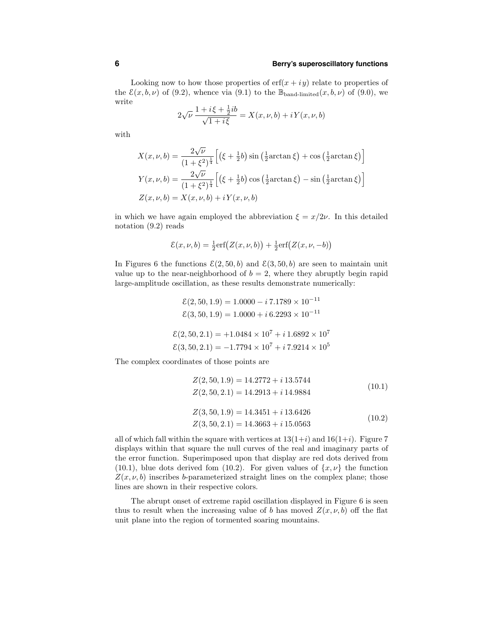## **6 Berry's superoscillatory functions**

Looking now to how those properties of  $erf(x + iy)$  relate to properties of the  $\mathcal{E}(x, b, \nu)$  of (9.2), whence via (9.1) to the  $\mathbb{B}_{\text{band-limited}}(x, b, \nu)$  of (9.0), we write

$$
2\sqrt{\nu} \, \frac{1 + i\xi + \frac{1}{2}ib}{\sqrt{1 + i\xi}} = X(x, \nu, b) + iY(x, \nu, b)
$$

with

$$
X(x, \nu, b) = \frac{2\sqrt{\nu}}{(1 + \xi^2)^{\frac{1}{4}}} \Big[ \left(\xi + \frac{1}{2}b\right) \sin\left(\frac{1}{2}\arctan\xi\right) + \cos\left(\frac{1}{2}\arctan\xi\right) \Big]
$$
  

$$
Y(x, \nu, b) = \frac{2\sqrt{\nu}}{(1 + \xi^2)^{\frac{1}{4}}} \Big[ \left(\xi + \frac{1}{2}b\right) \cos\left(\frac{1}{2}\arctan\xi\right) - \sin\left(\frac{1}{2}\arctan\xi\right) \Big]
$$
  

$$
Z(x, \nu, b) = X(x, \nu, b) + iY(x, \nu, b)
$$

in which we have again employed the abbreviation  $\xi = x/2\nu$ . In this detailed notation (9.2) reads

$$
\mathcal{E}(x,\nu,b) = \frac{1}{2} \mathrm{erf}\big(Z(x,\nu,b)\big) + \frac{1}{2} \mathrm{erf}\big(Z(x,\nu,-b)\big)
$$

In Figures 6 the functions  $\mathcal{E}(2, 50, b)$  and  $\mathcal{E}(3, 50, b)$  are seen to maintain unit value up to the near-neighborhood of  $b = 2$ , where they abruptly begin rapid large-amplitude oscillation, as these results demonstrate numerically:

$$
\mathcal{E}(2, 50, 1.9) = 1.0000 - i 7.1789 \times 10^{-11}
$$
  

$$
\mathcal{E}(3, 50, 1.9) = 1.0000 + i 6.2293 \times 10^{-11}
$$
  

$$
\mathcal{E}(2, 50, 2.1) = +1.0484 \times 10^7 + i 1.6892 \times 10^7
$$
  

$$
\mathcal{E}(3, 50, 2.1) = -1.7794 \times 10^7 + i 7.9214 \times 10^5
$$

The complex coordinates of those points are

$$
Z(2, 50, 1.9) = 14.2772 + i 13.5744
$$
  
\n
$$
Z(2, 50, 2.1) = 14.2913 + i 14.9884
$$
  
\n
$$
Z(3, 50, 1.9) = 14.3451 + i 13.6426
$$
  
\n
$$
Z(3, 50, 2.1) = 14.3663 + i 15.0563
$$
  
\n(10.2)

all of which fall within the square with vertices at  $13(1+i)$  and  $16(1+i)$ . Figure 7 displays within that square the null curves of the real and imaginary parts of the error function. Superimposed upon that display are red dots derived from (10.1), blue dots derived fom (10.2). For given values of  $\{x, \nu\}$  the function  $Z(x, \nu, b)$  inscribes b-parameterized straight lines on the complex plane; those lines are shown in their respective colors.

The abrupt onset of extreme rapid oscillation displayed in Figure 6 is seen thus to result when the increasing value of b has moved  $Z(x, \nu, b)$  off the flat unit plane into the region of tormented soaring mountains.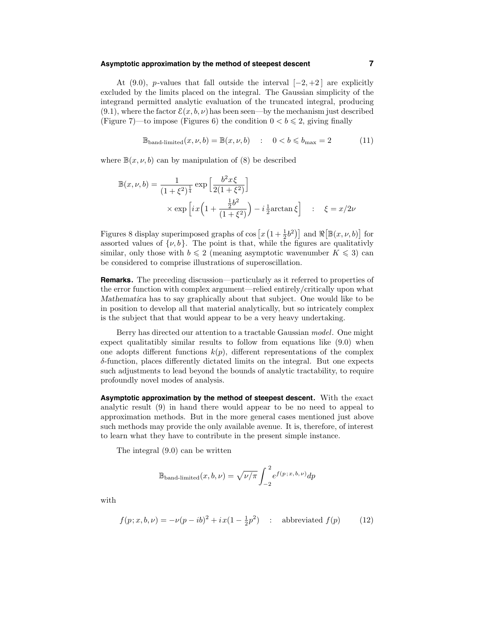#### **Asymptotic approximation by the method of steepest descent 7**

At (9.0), p-values that fall outside the interval  $[-2, +2]$  are explicitly excluded by the limits placed on the integral. The Gaussian simplicity of the integrand permitted analytic evaluation of the truncated integral, producing  $(9.1)$ , where the factor  $\mathcal{E}(x, b, \nu)$  has been seen—by the mechanism just described (Figure 7)—to impose (Figures 6) the condition  $0 < b \le 2$ , giving finally

$$
\mathbb{B}_{\text{band-limited}}(x, \nu, b) = \mathbb{B}(x, \nu, b) : 0 < b \le b_{\text{max}} = 2 \tag{11}
$$

where  $\mathbb{B}(x, \nu, b)$  can by manipulation of (8) be described

$$
\mathbb{B}(x,\nu,b) = \frac{1}{(1+\xi^2)^{\frac{1}{4}}} \exp\left[\frac{b^2x\xi}{2(1+\xi^2)}\right] \times \exp\left[ix\left(1+\frac{\frac{1}{2}b^2}{(1+\xi^2)}\right) - i\frac{1}{2}\arctan\xi\right] \quad : \quad \xi = x/2\nu
$$

Figures 8 display superimposed graphs of  $\cos\left[x\left(1+\frac{1}{2}b^2\right)\right]$  and  $\Re\left[\mathbb{B}(x,\nu,b)\right]$  for assorted values of  $\{\nu, b\}$ . The point is that, while the figures are qualitativly similar, only those with  $b \leq 2$  (meaning asymptotic wavenumber  $K \leq 3$ ) can be considered to comprise illustrations of superoscillation.

**Remarks.** The preceding discussion—particularly as it referred to properties of the error function with complex argument—relied entirely/critically upon what Mathematica has to say graphically about that subject. One would like to be in position to develop all that material analytically, but so intricately complex is the subject that that would appear to be a very heavy undertaking.

Berry has directed our attention to a tractable Gaussian model. One might expect qualitatibly similar results to follow from equations like (9.0) when one adopts different functions  $k(p)$ , different representations of the complex δ-function, places differently dictated limits on the integral. But one expects such adjustments to lead beyond the bounds of analytic tractability, to require profoundly novel modes of analysis.

**Asymptotic approximation by the method of steepest descent.** With the exact analytic result (9) in hand there would appear to be no need to appeal to approximation methods. But in the more general cases mentioned just above such methods may provide the only available avenue. It is, therefore, of interest to learn what they have to contribute in the present simple instance.

The integral (9.0) can be written

$$
\mathbb{B}_{\text{band-limited}}(x, b, \nu) = \sqrt{\nu/\pi} \int_{-2}^{2} e^{f(p; x, b, \nu)} dp
$$

with

$$
f(p; x, b, \nu) = -\nu(p - ib)^{2} + ix(1 - \frac{1}{2}p^{2}) \quad : \text{ abbreviated } f(p) \tag{12}
$$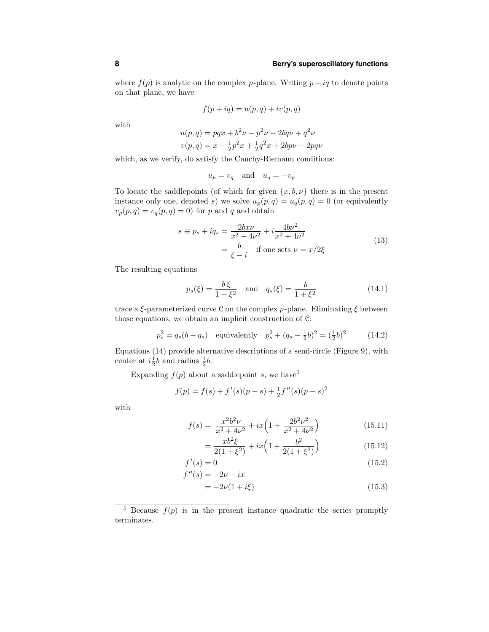# **8 Berry's superoscillatory functions**

where  $f(p)$  is analytic on the complex p-plane. Writing  $p + iq$  to denote points on that plane, we have

$$
f(p+iq) = u(p,q) + iv(p,q)
$$

with

$$
u(p,q) = pqx + b^2\nu - p^2\nu - 2bq\nu + q^2\nu
$$
  

$$
v(p,q) = x - \frac{1}{2}p^2x + \frac{1}{2}q^2x + 2bp\nu - 2pq\nu
$$

which, as we verify, do satisfy the Cauchy-Riemann conditions:

$$
u_p = v_q \quad \text{and} \quad u_q = -v_p
$$

To locate the saddlepoints (of which for given  $\{x, b, \nu\}$  there is in the present instance only one, denoted s) we solve  $u_p(p,q) = u_q(p,q) = 0$  (or equivalently  $v_p(p,q) = v_q(p,q) = 0$  for p and q and obtain

$$
s \equiv p_s + iq_s = \frac{2bx\nu}{x^2 + 4\nu^2} + i\frac{4b\nu^2}{x^2 + 4\nu^2} = \frac{b}{\xi - i} \quad \text{if one sets } \nu = x/2\xi
$$
 (13)

The resulting equations

$$
p_s(\xi) = \frac{b\xi}{1 + \xi^2}
$$
 and  $q_s(\xi) = \frac{b}{1 + \xi^2}$  (14.1)

trace a  $\xi$ -parameterized curve C on the complex p-plane. Eliminating  $\xi$  between those equations, we obtain an implicit construction of C:

$$
p_s^2 = q_s(b - q_s)
$$
 equivalently  $p_s^2 + (q_s - \frac{1}{2}b)^2 = (\frac{1}{2}b)^2$  (14.2)

Equations (14) provide alternative descriptions of a semi-circle (Figure 9), with center at  $i\frac{1}{2}b$  and radius  $\frac{1}{2}b$ .

Expanding  $f(p)$  about a saddlepoint s, we have<sup>5</sup>

$$
f(p) = f(s) + f'(s)(p - s) + \frac{1}{2}f''(s)(p - s)^2
$$

with

$$
f(s) = \frac{x^2 b^2 \nu}{x^2 + 4\nu^2} + ix \left( 1 + \frac{2b^2 \nu^2}{x^2 + 4\nu^2} \right)
$$
 (15.11)

$$
= \frac{xb^2\xi}{2(1+\xi^2)} + ix\left(1 + \frac{b^2}{2(1+\xi^2)}\right)
$$
(15.12)

$$
f'(s) = 0\tag{15.2}
$$

$$
f''(s) = -2\nu - ix
$$
  
= -2\nu(1 + i\xi) (15.3)

<sup>&</sup>lt;sup>5</sup> Because  $f(p)$  is in the present instance quadratic the series promptly terminates.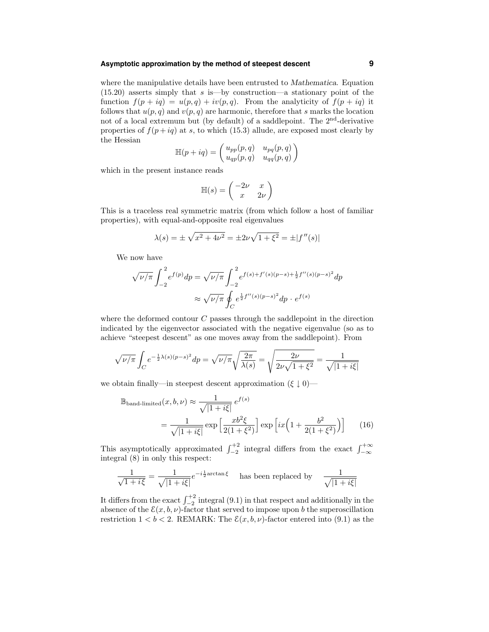# **Asymptotic approximation by the method of steepest descent 9**

where the manipulative details have been entrusted to Mathematica. Equation  $(15.20)$  asserts simply that s is—by construction—a stationary point of the function  $f(p + iq) = u(p,q) + iv(p,q)$ . From the analyticity of  $f(p + iq)$  it follows that  $u(p, q)$  and  $v(p, q)$  are harmonic, therefore that s marks the location not of a local extremum but (by default) of a saddlepoint. The  $2<sup>nd</sup>$ -derivative properties of  $f(p+iq)$  at s, to which (15.3) allude, are exposed most clearly by the Hessian

$$
\mathbb{H}(p+iq) = \begin{pmatrix} u_{pp}(p,q) & u_{pq}(p,q) \\ u_{qp}(p,q) & u_{qq}(p,q) \end{pmatrix}
$$

which in the present instance reads

$$
\mathbb{H}(s) = \begin{pmatrix} -2\nu & x \\ x & 2\nu \end{pmatrix}
$$

This is a traceless real symmetric matrix (from which follow a host of familiar properties), with equal-and-opposite real eigenvalues

$$
\lambda(s) = \pm \sqrt{x^2 + 4\nu^2} = \pm 2\nu\sqrt{1 + \xi^2} = \pm |f''(s)|
$$

We now have

$$
\sqrt{\nu/\pi} \int_{-2}^{2} e^{f(p)} dp = \sqrt{\nu/\pi} \int_{-2}^{2} e^{f(s) + f'(s)(p-s) + \frac{1}{2}f''(s)(p-s)^2} dp
$$

$$
\approx \sqrt{\nu/\pi} \oint_{C} e^{\frac{1}{2}f''(s)(p-s)^2} dp \cdot e^{f(s)}
$$

where the deformed contour  $C$  passes through the saddlepoint in the direction indicated by the eigenvector associated with the negative eigenvalue (so as to achieve "steepest descent" as one moves away from the saddlepoint). From

$$
\sqrt{\nu/\pi} \int_C e^{-\frac{1}{2}\lambda(s)(p-s)^2} dp = \sqrt{\nu/\pi} \sqrt{\frac{2\pi}{\lambda(s)}} = \sqrt{\frac{2\nu}{2\nu\sqrt{1+\xi^2}}} = \frac{1}{\sqrt{|1+i\xi|}}
$$

we obtain finally—in steepest descent approximation  $(\xi \parallel 0)$ —

$$
\mathbb{B}_{\text{band-limited}}(x, b, \nu) \approx \frac{1}{\sqrt{|1 + i\xi|}} e^{f(s)} \n= \frac{1}{\sqrt{|1 + i\xi|}} \exp\left[\frac{xb^2\xi}{2(1 + \xi^2)}\right] \exp\left[ix\left(1 + \frac{b^2}{2(1 + \xi^2)}\right)\right]
$$
\n(16)

This asymptotically approximated  $\int_{-2}^{+2}$  integral differs from the exact  $\int_{-\infty}^{+\infty}$ integral (8) in only this respect:

$$
\frac{1}{\sqrt{1+i\xi}} = \frac{1}{\sqrt{|1+i\xi|}} e^{-i\frac{1}{2}\arctan\xi}
$$
 has been replaced by 
$$
\frac{1}{\sqrt{|1+i\xi|}}
$$

It differs from the exact  $\int_{-2}^{+2}$  integral (9.1) in that respect and additionally in the absence of the  $\mathcal{E}(x, b, \nu)$ -factor that served to impose upon b the superoscillation restriction  $1 < b < 2$ . REMARK: The  $\mathcal{E}(x, b, \nu)$ -factor entered into (9.1) as the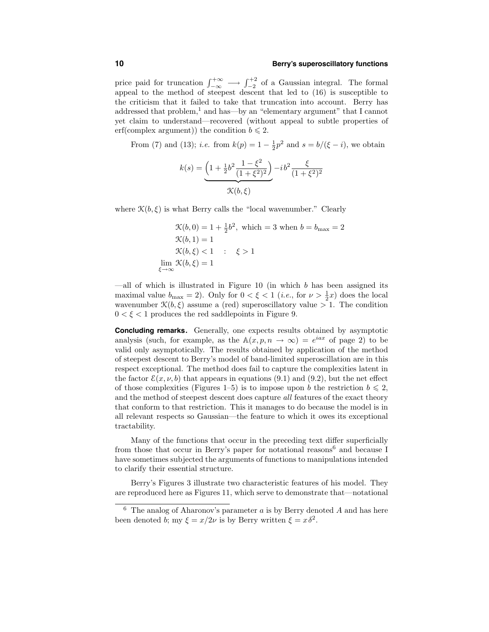#### **10 Berry's superoscillatory functions**

price paid for truncation  $\int_{-\infty}^{+\infty}$   $\longrightarrow$   $\int_{-2}^{+2}$  of a Gaussian integral. The formal appeal to the method of steepest descent that led to (16) is susceptible to the criticism that it failed to take that truncation into account. Berry has addressed that problem,<sup>1</sup> and has—by an "elementary argument" that I cannot yet claim to understand—recovered (without appeal to subtle properties of erf(complex argument)) the condition  $b \leq 2$ .

From (7) and (13); *i.e.* from  $k(p) = 1 - \frac{1}{2}p^2$  and  $s = b/(\xi - i)$ , we obtain

$$
k(s) = \underbrace{\left(1 + \frac{1}{2}b^2 \frac{1 - \xi^2}{(1 + \xi^2)^2}\right)}_{\mathcal{K}(b,\xi)} - i b^2 \frac{\xi}{(1 + \xi^2)^2}
$$

where  $\mathcal{K}(b,\xi)$  is what Berry calls the "local wavenumber." Clearly

$$
\mathcal{K}(b, 0) = 1 + \frac{1}{2}b^2, \text{ which } = 3 \text{ when } b = b_{\text{max}} = 2
$$
  

$$
\mathcal{K}(b, 1) = 1
$$
  

$$
\mathcal{K}(b, \xi) < 1 \quad : \quad \xi > 1
$$
  

$$
\lim_{\xi \to \infty} \mathcal{K}(b, \xi) = 1
$$

—all of which is illustrated in Figure  $10$  (in which  $b$  has been assigned its maximal value  $b_{\text{max}} = 2$ ). Only for  $0 < \xi < 1$  (*i.e.*, for  $\nu > \frac{1}{2}x$ ) does the local wavenumber  $\mathcal{K}(b,\xi)$  assume a (red) superoscillatory value  $>1$ . The condition  $0 < \xi < 1$  produces the red saddlepoints in Figure 9.

**Concluding remarks.** Generally, one expects results obtained by asymptotic analysis (such, for example, as the  $A(x, p, n \to \infty) = e^{iax}$  of page 2) to be valid only asymptotically. The results obtained by application of the method of steepest descent to Berry's model of band-limited superoscillation are in this respect exceptional. The method does fail to capture the complexities latent in the factor  $\mathcal{E}(x, \nu, b)$  that appears in equations (9.1) and (9.2), but the net effect of those complexities (Figures 1–5) is to impose upon b the restriction  $b \leq 2$ , and the method of steepest descent does capture all features of the exact theory that conform to that restriction. This it manages to do because the model is in all relevant respects so Gaussian—the feature to which it owes its exceptional tractability.

Many of the functions that occur in the preceding text differ superficially from those that occur in Berry's paper for notational reasons<sup>6</sup> and because I have sometimes subjected the arguments of functions to manipulations intended to clarify their essential structure.

Berry's Figures 3 illustrate two characteristic features of his model. They are reproduced here as Figures 11, which serve to demonstrate that—notational

<sup>&</sup>lt;sup>6</sup> The analog of Aharonov's parameter  $a$  is by Berry denoted  $A$  and has here been denoted b; my  $\xi = x/2\nu$  is by Berry written  $\xi = x\delta^2$ .